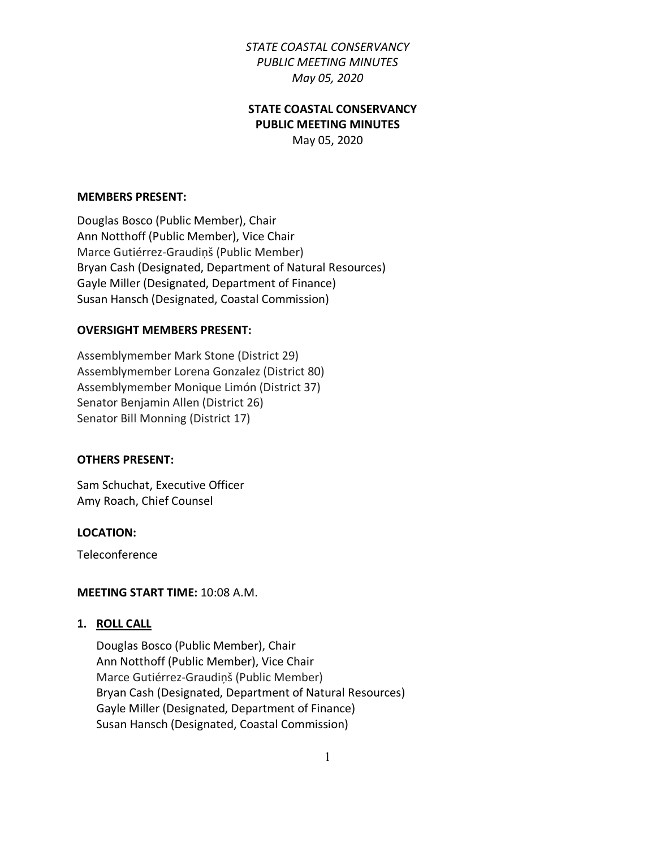# **STATE COASTAL CONSERVANCY PUBLIC MEETING MINUTES**

May 05, 2020

#### **MEMBERS PRESENT:**

Douglas Bosco (Public Member), Chair Ann Notthoff (Public Member), Vice Chair Marce Gutiérrez-Graudiņš (Public Member) Bryan Cash (Designated, Department of Natural Resources) Gayle Miller (Designated, Department of Finance) Susan Hansch (Designated, Coastal Commission)

#### **OVERSIGHT MEMBERS PRESENT:**

Assemblymember Mark Stone (District 29) Assemblymember Lorena Gonzalez (District 80) Assemblymember Monique Limón (District 37) Senator Benjamin Allen (District 26) Senator Bill Monning (District 17)

#### **OTHERS PRESENT:**

Sam Schuchat, Executive Officer Amy Roach, Chief Counsel

#### **LOCATION:**

Teleconference

#### **MEETING START TIME:** 10:08 A.M.

#### **1. ROLL CALL**

Douglas Bosco (Public Member), Chair Ann Notthoff (Public Member), Vice Chair Marce Gutiérrez-Graudiņš (Public Member) Bryan Cash (Designated, Department of Natural Resources) Gayle Miller (Designated, Department of Finance) Susan Hansch (Designated, Coastal Commission)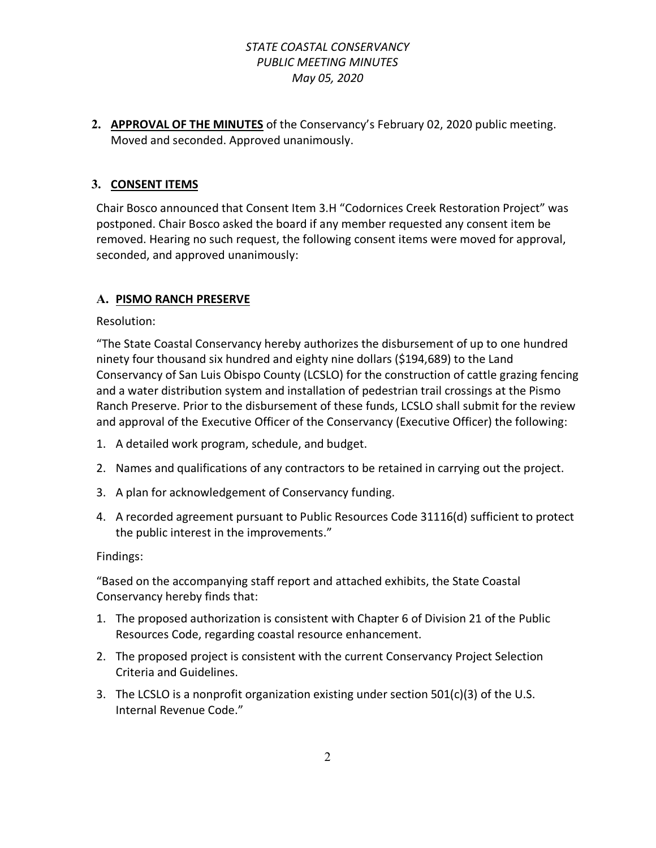**2. APPROVAL OF THE MINUTES** of the Conservancy's February 02, 2020 public meeting. Moved and seconded. Approved unanimously.

# **3. CONSENT ITEMS**

Chair Bosco announced that Consent Item 3.H "Codornices Creek Restoration Project" was postponed. Chair Bosco asked the board if any member requested any consent item be removed. Hearing no such request, the following consent items were moved for approval, seconded, and approved unanimously:

### **A. PISMO RANCH PRESERVE**

Resolution:

"The State Coastal Conservancy hereby authorizes the disbursement of up to one hundred ninety four thousand six hundred and eighty nine dollars (\$194,689) to the Land Conservancy of San Luis Obispo County (LCSLO) for the construction of cattle grazing fencing and a water distribution system and installation of pedestrian trail crossings at the Pismo Ranch Preserve. Prior to the disbursement of these funds, LCSLO shall submit for the review and approval of the Executive Officer of the Conservancy (Executive Officer) the following:

- 1. A detailed work program, schedule, and budget.
- 2. Names and qualifications of any contractors to be retained in carrying out the project.
- 3. A plan for acknowledgement of Conservancy funding.
- 4. A recorded agreement pursuant to Public Resources Code 31116(d) sufficient to protect the public interest in the improvements."

### Findings:

- 1. The proposed authorization is consistent with Chapter 6 of Division 21 of the Public Resources Code, regarding coastal resource enhancement.
- 2. The proposed project is consistent with the current Conservancy Project Selection Criteria and Guidelines.
- 3. The LCSLO is a nonprofit organization existing under section 501(c)(3) of the U.S. Internal Revenue Code."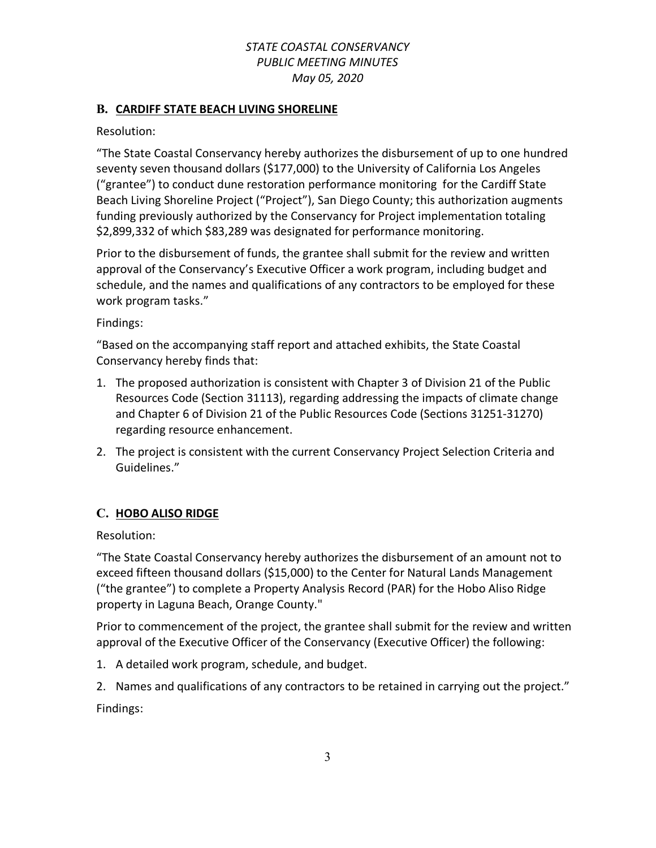### **B. CARDIFF STATE BEACH LIVING SHORELINE**

Resolution:

"The State Coastal Conservancy hereby authorizes the disbursement of up to one hundred seventy seven thousand dollars (\$177,000) to the University of California Los Angeles ("grantee") to conduct dune restoration performance monitoring for the Cardiff State Beach Living Shoreline Project ("Project"), San Diego County; this authorization augments funding previously authorized by the Conservancy for Project implementation totaling \$2,899,332 of which \$83,289 was designated for performance monitoring.

Prior to the disbursement of funds, the grantee shall submit for the review and written approval of the Conservancy's Executive Officer a work program, including budget and schedule, and the names and qualifications of any contractors to be employed for these work program tasks."

Findings:

"Based on the accompanying staff report and attached exhibits, the State Coastal Conservancy hereby finds that:

- 1. The proposed authorization is consistent with Chapter 3 of Division 21 of the Public Resources Code (Section 31113), regarding addressing the impacts of climate change and Chapter 6 of Division 21 of the Public Resources Code (Sections 31251-31270) regarding resource enhancement.
- 2. The project is consistent with the current Conservancy Project Selection Criteria and Guidelines."

### **C. HOBO ALISO RIDGE**

Resolution:

"The State Coastal Conservancy hereby authorizes the disbursement of an amount not to exceed fifteen thousand dollars (\$15,000) to the Center for Natural Lands Management ("the grantee") to complete a Property Analysis Record (PAR) for the Hobo Aliso Ridge property in Laguna Beach, Orange County."

Prior to commencement of the project, the grantee shall submit for the review and written approval of the Executive Officer of the Conservancy (Executive Officer) the following:

- 1. A detailed work program, schedule, and budget.
- 2. Names and qualifications of any contractors to be retained in carrying out the project."

Findings: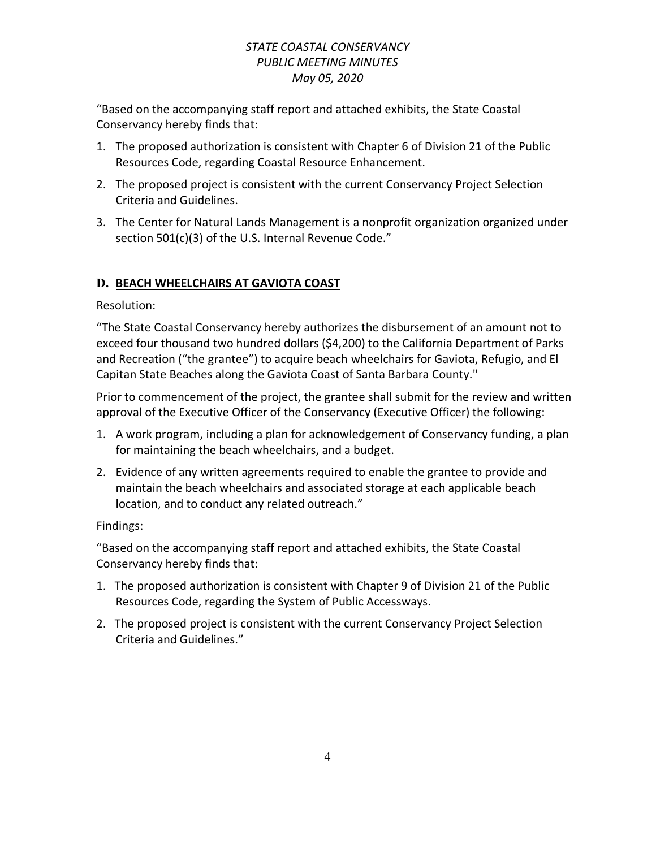"Based on the accompanying staff report and attached exhibits, the State Coastal Conservancy hereby finds that:

- 1. The proposed authorization is consistent with Chapter 6 of Division 21 of the Public Resources Code, regarding Coastal Resource Enhancement.
- 2. The proposed project is consistent with the current Conservancy Project Selection Criteria and Guidelines.
- 3. The Center for Natural Lands Management is a nonprofit organization organized under section 501(c)(3) of the U.S. Internal Revenue Code."

# **D. BEACH WHEELCHAIRS AT GAVIOTA COAST**

Resolution:

"The State Coastal Conservancy hereby authorizes the disbursement of an amount not to exceed four thousand two hundred dollars (\$4,200) to the California Department of Parks and Recreation ("the grantee") to acquire beach wheelchairs for Gaviota, Refugio, and El Capitan State Beaches along the Gaviota Coast of Santa Barbara County."

Prior to commencement of the project, the grantee shall submit for the review and written approval of the Executive Officer of the Conservancy (Executive Officer) the following:

- 1. A work program, including a plan for acknowledgement of Conservancy funding, a plan for maintaining the beach wheelchairs, and a budget.
- 2. Evidence of any written agreements required to enable the grantee to provide and maintain the beach wheelchairs and associated storage at each applicable beach location, and to conduct any related outreach."

Findings:

- 1. The proposed authorization is consistent with Chapter 9 of Division 21 of the Public Resources Code, regarding the System of Public Accessways.
- 2. The proposed project is consistent with the current Conservancy Project Selection Criteria and Guidelines."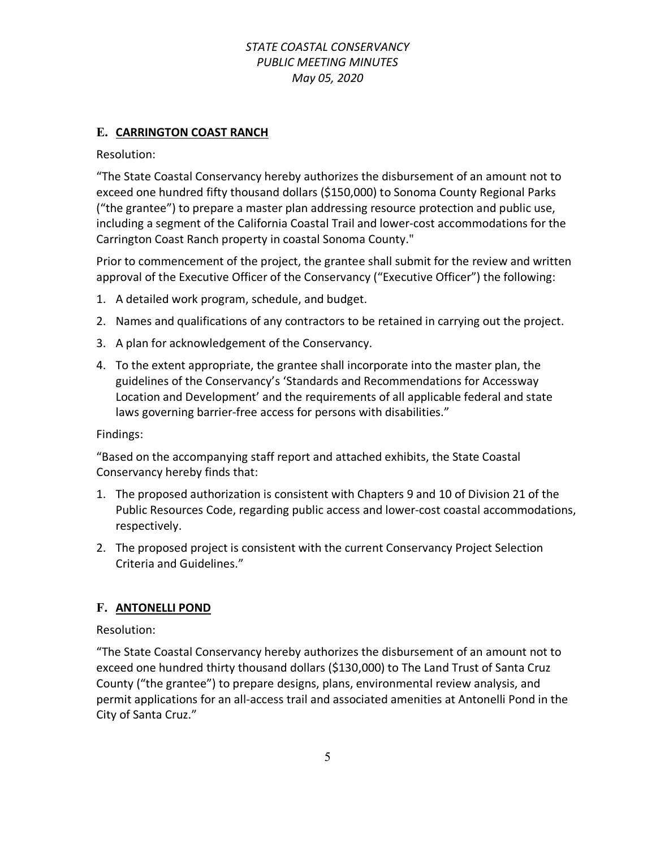### **E. CARRINGTON COAST RANCH**

Resolution:

"The State Coastal Conservancy hereby authorizes the disbursement of an amount not to exceed one hundred fifty thousand dollars (\$150,000) to Sonoma County Regional Parks ("the grantee") to prepare a master plan addressing resource protection and public use, including a segment of the California Coastal Trail and lower-cost accommodations for the Carrington Coast Ranch property in coastal Sonoma County."

Prior to commencement of the project, the grantee shall submit for the review and written approval of the Executive Officer of the Conservancy ("Executive Officer") the following:

- 1. A detailed work program, schedule, and budget.
- 2. Names and qualifications of any contractors to be retained in carrying out the project.
- 3. A plan for acknowledgement of the Conservancy.
- 4. To the extent appropriate, the grantee shall incorporate into the master plan, the guidelines of the Conservancy's 'Standards and Recommendations for Accessway Location and Development' and the requirements of all applicable federal and state laws governing barrier-free access for persons with disabilities."

Findings:

"Based on the accompanying staff report and attached exhibits, the State Coastal Conservancy hereby finds that:

- 1. The proposed authorization is consistent with Chapters 9 and 10 of Division 21 of the Public Resources Code, regarding public access and lower-cost coastal accommodations, respectively.
- 2. The proposed project is consistent with the current Conservancy Project Selection Criteria and Guidelines."

### **F. ANTONELLI POND**

Resolution:

"The State Coastal Conservancy hereby authorizes the disbursement of an amount not to exceed one hundred thirty thousand dollars (\$130,000) to The Land Trust of Santa Cruz County ("the grantee") to prepare designs, plans, environmental review analysis, and permit applications for an all-access trail and associated amenities at Antonelli Pond in the City of Santa Cruz."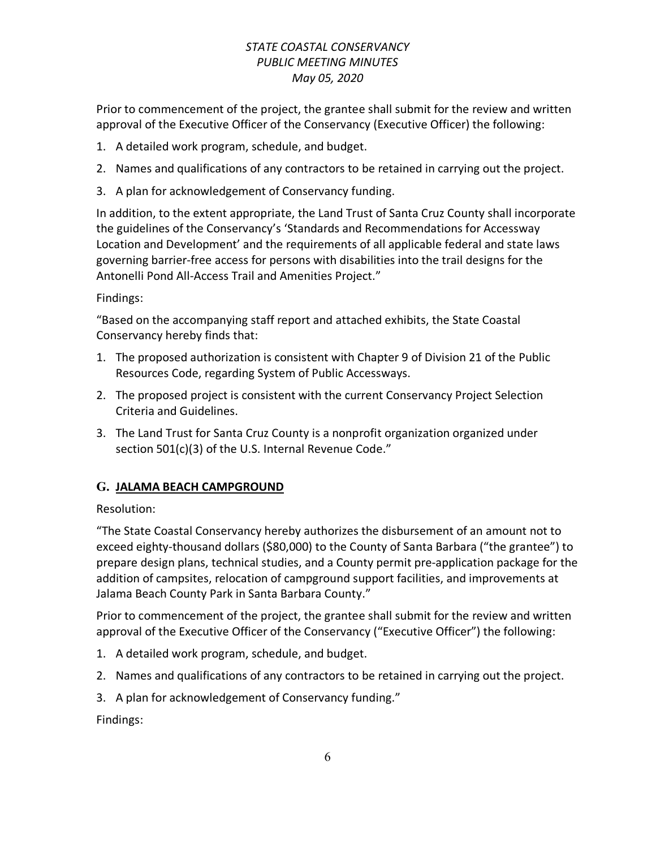Prior to commencement of the project, the grantee shall submit for the review and written approval of the Executive Officer of the Conservancy (Executive Officer) the following:

- 1. A detailed work program, schedule, and budget.
- 2. Names and qualifications of any contractors to be retained in carrying out the project.
- 3. A plan for acknowledgement of Conservancy funding.

In addition, to the extent appropriate, the Land Trust of Santa Cruz County shall incorporate the guidelines of the Conservancy's 'Standards and Recommendations for Accessway Location and Development' and the requirements of all applicable federal and state laws governing barrier-free access for persons with disabilities into the trail designs for the Antonelli Pond All-Access Trail and Amenities Project."

### Findings:

"Based on the accompanying staff report and attached exhibits, the State Coastal Conservancy hereby finds that:

- 1. The proposed authorization is consistent with Chapter 9 of Division 21 of the Public Resources Code, regarding System of Public Accessways.
- 2. The proposed project is consistent with the current Conservancy Project Selection Criteria and Guidelines.
- 3. The Land Trust for Santa Cruz County is a nonprofit organization organized under section 501(c)(3) of the U.S. Internal Revenue Code."

# **G. JALAMA BEACH CAMPGROUND**

# Resolution:

"The State Coastal Conservancy hereby authorizes the disbursement of an amount not to exceed eighty-thousand dollars (\$80,000) to the County of Santa Barbara ("the grantee") to prepare design plans, technical studies, and a County permit pre-application package for the addition of campsites, relocation of campground support facilities, and improvements at Jalama Beach County Park in Santa Barbara County."

Prior to commencement of the project, the grantee shall submit for the review and written approval of the Executive Officer of the Conservancy ("Executive Officer") the following:

- 1. A detailed work program, schedule, and budget.
- 2. Names and qualifications of any contractors to be retained in carrying out the project.
- 3. A plan for acknowledgement of Conservancy funding."

Findings: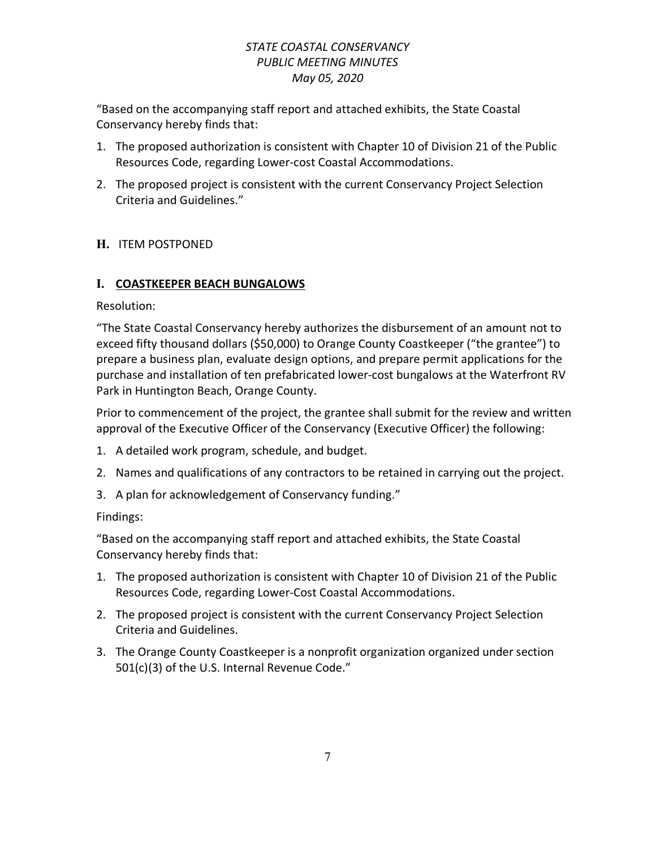"Based on the accompanying staff report and attached exhibits, the State Coastal Conservancy hereby finds that:

- 1. The proposed authorization is consistent with Chapter 10 of Division 21 of the Public Resources Code, regarding Lower-cost Coastal Accommodations.
- 2. The proposed project is consistent with the current Conservancy Project Selection Criteria and Guidelines."

# **H.** ITEM POSTPONED

# **I. COASTKEEPER BEACH BUNGALOWS**

Resolution:

"The State Coastal Conservancy hereby authorizes the disbursement of an amount not to exceed fifty thousand dollars (\$50,000) to Orange County Coastkeeper ("the grantee") to prepare a business plan, evaluate design options, and prepare permit applications for the purchase and installation of ten prefabricated lower-cost bungalows at the Waterfront RV Park in Huntington Beach, Orange County.

Prior to commencement of the project, the grantee shall submit for the review and written approval of the Executive Officer of the Conservancy (Executive Officer) the following:

- 1. A detailed work program, schedule, and budget.
- 2. Names and qualifications of any contractors to be retained in carrying out the project.
- 3. A plan for acknowledgement of Conservancy funding."

# Findings:

- 1. The proposed authorization is consistent with Chapter 10 of Division 21 of the Public Resources Code, regarding Lower-Cost Coastal Accommodations.
- 2. The proposed project is consistent with the current Conservancy Project Selection Criteria and Guidelines.
- 3. The Orange County Coastkeeper is a nonprofit organization organized under section 501(c)(3) of the U.S. Internal Revenue Code."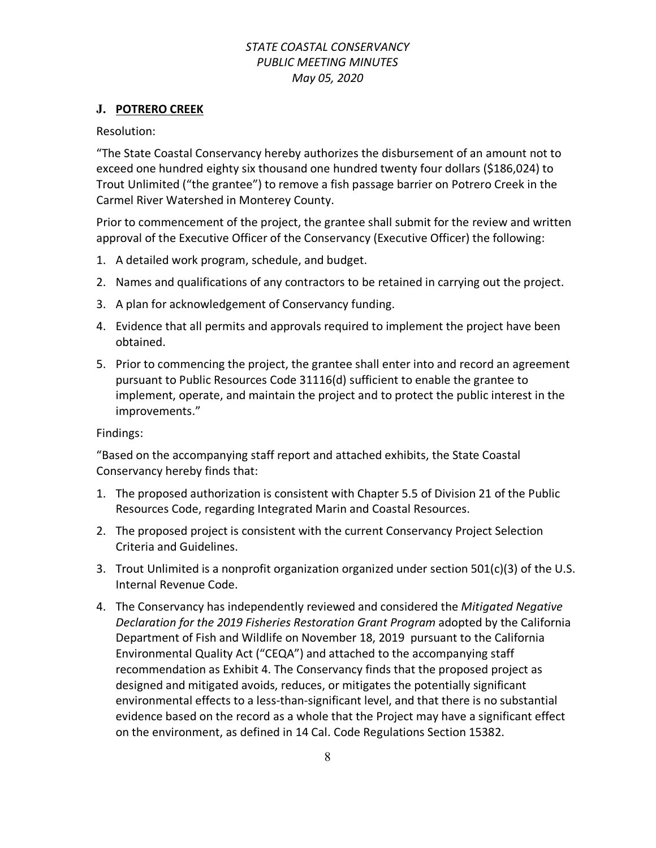### **J. POTRERO CREEK**

#### Resolution:

"The State Coastal Conservancy hereby authorizes the disbursement of an amount not to exceed one hundred eighty six thousand one hundred twenty four dollars (\$186,024) to Trout Unlimited ("the grantee") to remove a fish passage barrier on Potrero Creek in the Carmel River Watershed in Monterey County.

Prior to commencement of the project, the grantee shall submit for the review and written approval of the Executive Officer of the Conservancy (Executive Officer) the following:

- 1. A detailed work program, schedule, and budget.
- 2. Names and qualifications of any contractors to be retained in carrying out the project.
- 3. A plan for acknowledgement of Conservancy funding.
- 4. Evidence that all permits and approvals required to implement the project have been obtained.
- 5. Prior to commencing the project, the grantee shall enter into and record an agreement pursuant to Public Resources Code 31116(d) sufficient to enable the grantee to implement, operate, and maintain the project and to protect the public interest in the improvements."

### Findings:

- 1. The proposed authorization is consistent with Chapter 5.5 of Division 21 of the Public Resources Code, regarding Integrated Marin and Coastal Resources.
- 2. The proposed project is consistent with the current Conservancy Project Selection Criteria and Guidelines.
- 3. Trout Unlimited is a nonprofit organization organized under section 501(c)(3) of the U.S. Internal Revenue Code.
- 4. The Conservancy has independently reviewed and considered the *Mitigated Negative Declaration for the 2019 Fisheries Restoration Grant Program* adopted by the California Department of Fish and Wildlife on November 18, 2019 pursuant to the California Environmental Quality Act ("CEQA") and attached to the accompanying staff recommendation as Exhibit 4. The Conservancy finds that the proposed project as designed and mitigated avoids, reduces, or mitigates the potentially significant environmental effects to a less-than-significant level, and that there is no substantial evidence based on the record as a whole that the Project may have a significant effect on the environment, as defined in 14 Cal. Code Regulations Section 15382.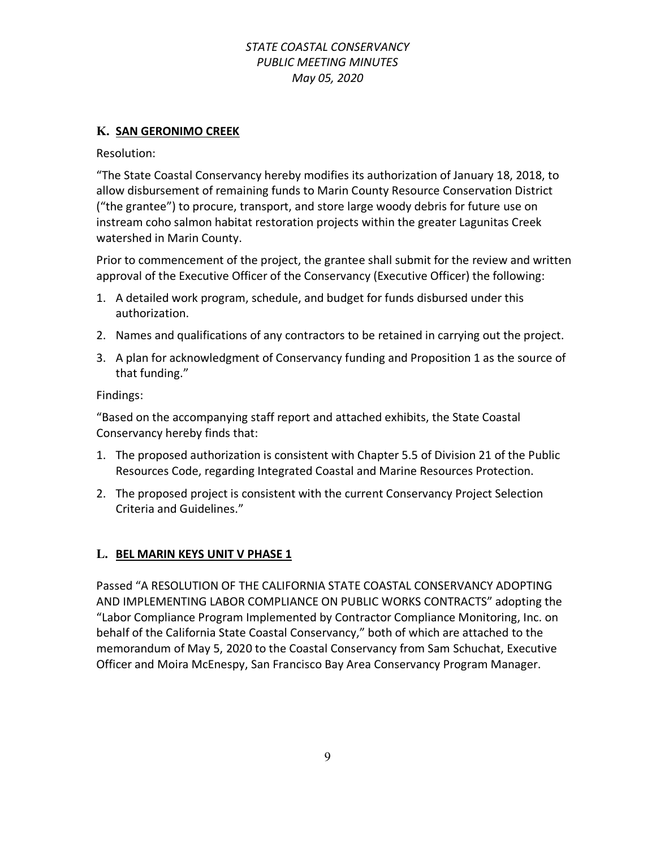### **K. SAN GERONIMO CREEK**

Resolution:

"The State Coastal Conservancy hereby modifies its authorization of January 18, 2018, to allow disbursement of remaining funds to Marin County Resource Conservation District ("the grantee") to procure, transport, and store large woody debris for future use on instream coho salmon habitat restoration projects within the greater Lagunitas Creek watershed in Marin County.

Prior to commencement of the project, the grantee shall submit for the review and written approval of the Executive Officer of the Conservancy (Executive Officer) the following:

- 1. A detailed work program, schedule, and budget for funds disbursed under this authorization.
- 2. Names and qualifications of any contractors to be retained in carrying out the project.
- 3. A plan for acknowledgment of Conservancy funding and Proposition 1 as the source of that funding."

Findings:

"Based on the accompanying staff report and attached exhibits, the State Coastal Conservancy hereby finds that:

- 1. The proposed authorization is consistent with Chapter 5.5 of Division 21 of the Public Resources Code, regarding Integrated Coastal and Marine Resources Protection.
- 2. The proposed project is consistent with the current Conservancy Project Selection Criteria and Guidelines."

# **L. BEL MARIN KEYS UNIT V PHASE 1**

Passed "A RESOLUTION OF THE CALIFORNIA STATE COASTAL CONSERVANCY ADOPTING AND IMPLEMENTING LABOR COMPLIANCE ON PUBLIC WORKS CONTRACTS" adopting the "Labor Compliance Program Implemented by Contractor Compliance Monitoring, Inc. on behalf of the California State Coastal Conservancy," both of which are attached to the memorandum of May 5, 2020 to the Coastal Conservancy from Sam Schuchat, Executive Officer and Moira McEnespy, San Francisco Bay Area Conservancy Program Manager.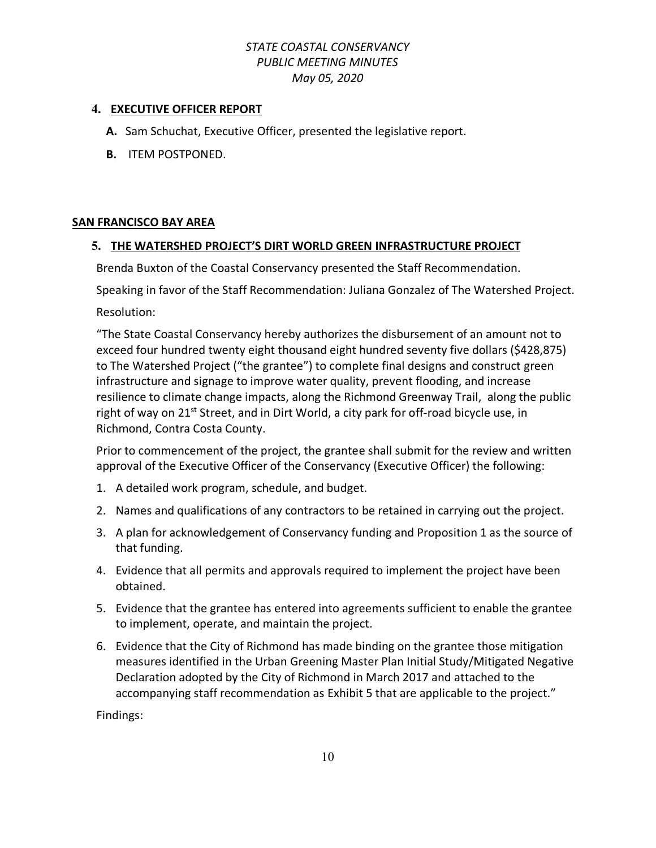### **4. EXECUTIVE OFFICER REPORT**

- **A.** Sam Schuchat, Executive Officer, presented the legislative report.
- **B.** ITEM POSTPONED.

#### **SAN FRANCISCO BAY AREA**

#### **5. THE WATERSHED PROJECT'S DIRT WORLD GREEN INFRASTRUCTURE PROJECT**

Brenda Buxton of the Coastal Conservancy presented the Staff Recommendation.

Speaking in favor of the Staff Recommendation: Juliana Gonzalez of The Watershed Project.

Resolution:

"The State Coastal Conservancy hereby authorizes the disbursement of an amount not to exceed four hundred twenty eight thousand eight hundred seventy five dollars (\$428,875) to The Watershed Project ("the grantee") to complete final designs and construct green infrastructure and signage to improve water quality, prevent flooding, and increase resilience to climate change impacts, along the Richmond Greenway Trail, along the public right of way on 21<sup>st</sup> Street, and in Dirt World, a city park for off-road bicycle use, in Richmond, Contra Costa County.

Prior to commencement of the project, the grantee shall submit for the review and written approval of the Executive Officer of the Conservancy (Executive Officer) the following:

- 1. A detailed work program, schedule, and budget.
- 2. Names and qualifications of any contractors to be retained in carrying out the project.
- 3. A plan for acknowledgement of Conservancy funding and Proposition 1 as the source of that funding.
- 4. Evidence that all permits and approvals required to implement the project have been obtained.
- 5. Evidence that the grantee has entered into agreements sufficient to enable the grantee to implement, operate, and maintain the project.
- 6. Evidence that the City of Richmond has made binding on the grantee those mitigation measures identified in the Urban Greening Master Plan Initial Study/Mitigated Negative Declaration adopted by the City of Richmond in March 2017 and attached to the accompanying staff recommendation as Exhibit 5 that are applicable to the project."

Findings: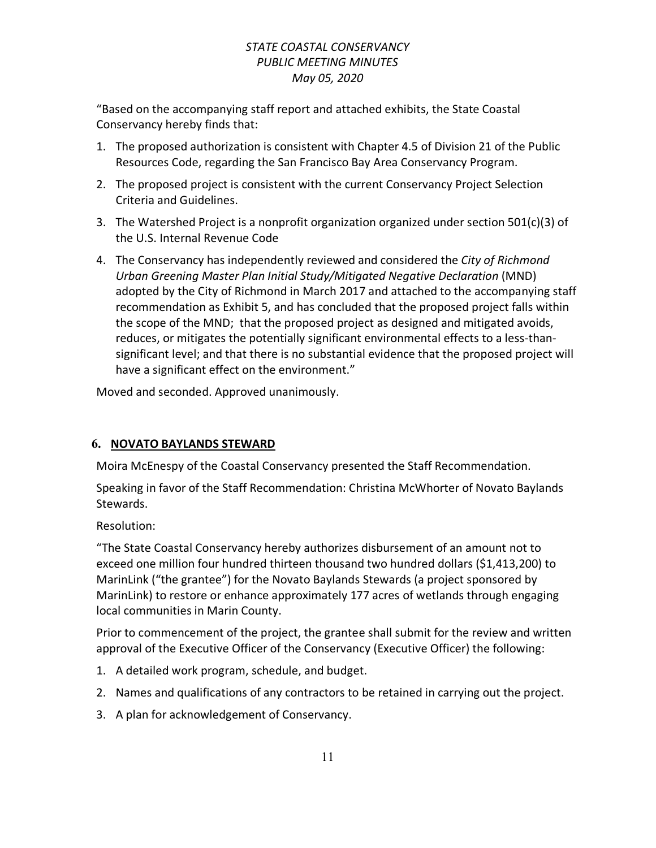"Based on the accompanying staff report and attached exhibits, the State Coastal Conservancy hereby finds that:

- 1. The proposed authorization is consistent with Chapter 4.5 of Division 21 of the Public Resources Code, regarding the San Francisco Bay Area Conservancy Program.
- 2. The proposed project is consistent with the current Conservancy Project Selection Criteria and Guidelines.
- 3. The Watershed Project is a nonprofit organization organized under section  $501(c)(3)$  of the U.S. Internal Revenue Code
- 4. The Conservancy has independently reviewed and considered the *City of Richmond Urban Greening Master Plan Initial Study/Mitigated Negative Declaration* (MND) adopted by the City of Richmond in March 2017 and attached to the accompanying staff recommendation as Exhibit 5, and has concluded that the proposed project falls within the scope of the MND; that the proposed project as designed and mitigated avoids, reduces, or mitigates the potentially significant environmental effects to a less-thansignificant level; and that there is no substantial evidence that the proposed project will have a significant effect on the environment."

Moved and seconded. Approved unanimously.

# **6. NOVATO BAYLANDS STEWARD**

Moira McEnespy of the Coastal Conservancy presented the Staff Recommendation.

Speaking in favor of the Staff Recommendation: Christina McWhorter of Novato Baylands Stewards.

Resolution:

"The State Coastal Conservancy hereby authorizes disbursement of an amount not to exceed one million four hundred thirteen thousand two hundred dollars (\$1,413,200) to MarinLink ("the grantee") for the Novato Baylands Stewards (a project sponsored by MarinLink) to restore or enhance approximately 177 acres of wetlands through engaging local communities in Marin County.

Prior to commencement of the project, the grantee shall submit for the review and written approval of the Executive Officer of the Conservancy (Executive Officer) the following:

- 1. A detailed work program, schedule, and budget.
- 2. Names and qualifications of any contractors to be retained in carrying out the project.
- 3. A plan for acknowledgement of Conservancy.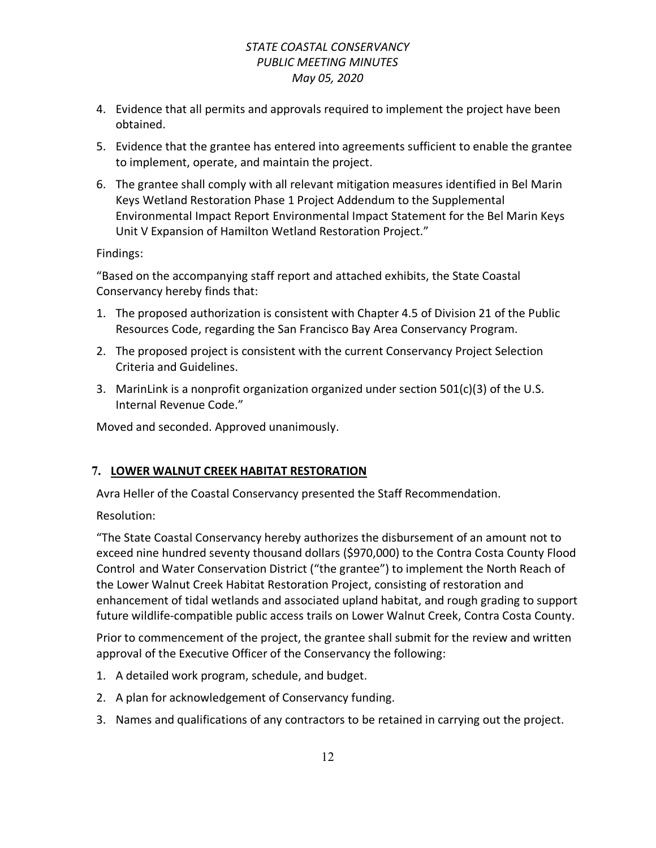- 4. Evidence that all permits and approvals required to implement the project have been obtained.
- 5. Evidence that the grantee has entered into agreements sufficient to enable the grantee to implement, operate, and maintain the project.
- 6. The grantee shall comply with all relevant mitigation measures identified in Bel Marin Keys Wetland Restoration Phase 1 Project Addendum to the Supplemental Environmental Impact Report Environmental Impact Statement for the Bel Marin Keys Unit V Expansion of Hamilton Wetland Restoration Project."

Findings:

"Based on the accompanying staff report and attached exhibits, the State Coastal Conservancy hereby finds that:

- 1. The proposed authorization is consistent with Chapter 4.5 of Division 21 of the Public Resources Code, regarding the San Francisco Bay Area Conservancy Program.
- 2. The proposed project is consistent with the current Conservancy Project Selection Criteria and Guidelines.
- 3. MarinLink is a nonprofit organization organized under section  $501(c)(3)$  of the U.S. Internal Revenue Code."

Moved and seconded. Approved unanimously.

# **7. LOWER WALNUT CREEK HABITAT RESTORATION**

Avra Heller of the Coastal Conservancy presented the Staff Recommendation.

Resolution:

"The State Coastal Conservancy hereby authorizes the disbursement of an amount not to exceed nine hundred seventy thousand dollars (\$970,000) to the Contra Costa County Flood Control and Water Conservation District ("the grantee") to implement the North Reach of the Lower Walnut Creek Habitat Restoration Project, consisting of restoration and enhancement of tidal wetlands and associated upland habitat, and rough grading to support future wildlife-compatible public access trails on Lower Walnut Creek, Contra Costa County.

Prior to commencement of the project, the grantee shall submit for the review and written approval of the Executive Officer of the Conservancy the following:

- 1. A detailed work program, schedule, and budget.
- 2. A plan for acknowledgement of Conservancy funding.
- 3. Names and qualifications of any contractors to be retained in carrying out the project.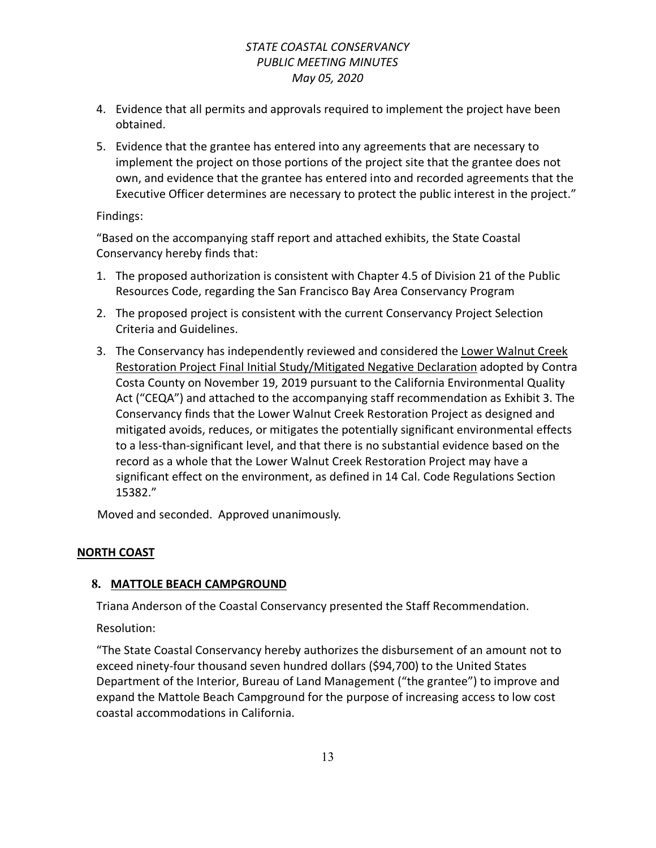- 4. Evidence that all permits and approvals required to implement the project have been obtained.
- 5. Evidence that the grantee has entered into any agreements that are necessary to implement the project on those portions of the project site that the grantee does not own, and evidence that the grantee has entered into and recorded agreements that the Executive Officer determines are necessary to protect the public interest in the project."

### Findings:

"Based on the accompanying staff report and attached exhibits, the State Coastal Conservancy hereby finds that:

- 1. The proposed authorization is consistent with Chapter 4.5 of Division 21 of the Public Resources Code, regarding the San Francisco Bay Area Conservancy Program
- 2. The proposed project is consistent with the current Conservancy Project Selection Criteria and Guidelines.
- 3. The Conservancy has independently reviewed and considered the Lower Walnut Creek Restoration Project Final Initial Study/Mitigated Negative Declaration adopted by Contra Costa County on November 19, 2019 pursuant to the California Environmental Quality Act ("CEQA") and attached to the accompanying staff recommendation as Exhibit 3. The Conservancy finds that the Lower Walnut Creek Restoration Project as designed and mitigated avoids, reduces, or mitigates the potentially significant environmental effects to a less-than-significant level, and that there is no substantial evidence based on the record as a whole that the Lower Walnut Creek Restoration Project may have a significant effect on the environment, as defined in 14 Cal. Code Regulations Section 15382."

Moved and seconded. Approved unanimously.

### **NORTH COAST**

### **8. MATTOLE BEACH CAMPGROUND**

Triana Anderson of the Coastal Conservancy presented the Staff Recommendation.

Resolution:

"The State Coastal Conservancy hereby authorizes the disbursement of an amount not to exceed ninety-four thousand seven hundred dollars (\$94,700) to the United States Department of the Interior, Bureau of Land Management ("the grantee") to improve and expand the Mattole Beach Campground for the purpose of increasing access to low cost coastal accommodations in California.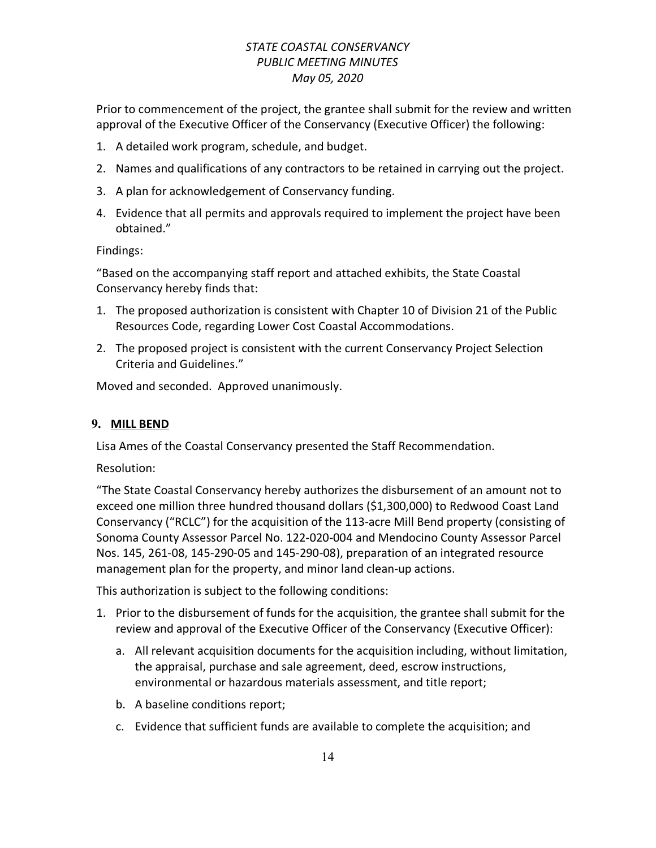Prior to commencement of the project, the grantee shall submit for the review and written approval of the Executive Officer of the Conservancy (Executive Officer) the following:

- 1. A detailed work program, schedule, and budget.
- 2. Names and qualifications of any contractors to be retained in carrying out the project.
- 3. A plan for acknowledgement of Conservancy funding.
- 4. Evidence that all permits and approvals required to implement the project have been obtained."

Findings:

"Based on the accompanying staff report and attached exhibits, the State Coastal Conservancy hereby finds that:

- 1. The proposed authorization is consistent with Chapter 10 of Division 21 of the Public Resources Code, regarding Lower Cost Coastal Accommodations.
- 2. The proposed project is consistent with the current Conservancy Project Selection Criteria and Guidelines."

Moved and seconded. Approved unanimously.

### **9. MILL BEND**

Lisa Ames of the Coastal Conservancy presented the Staff Recommendation.

Resolution:

"The State Coastal Conservancy hereby authorizes the disbursement of an amount not to exceed one million three hundred thousand dollars (\$1,300,000) to Redwood Coast Land Conservancy ("RCLC") for the acquisition of the 113-acre Mill Bend property (consisting of Sonoma County Assessor Parcel No. 122-020-004 and Mendocino County Assessor Parcel Nos. 145, 261-08, 145-290-05 and 145-290-08), preparation of an integrated resource management plan for the property, and minor land clean-up actions.

This authorization is subject to the following conditions:

- 1. Prior to the disbursement of funds for the acquisition, the grantee shall submit for the review and approval of the Executive Officer of the Conservancy (Executive Officer):
	- a. All relevant acquisition documents for the acquisition including, without limitation, the appraisal, purchase and sale agreement, deed, escrow instructions, environmental or hazardous materials assessment, and title report;
	- b. A baseline conditions report;
	- c. Evidence that sufficient funds are available to complete the acquisition; and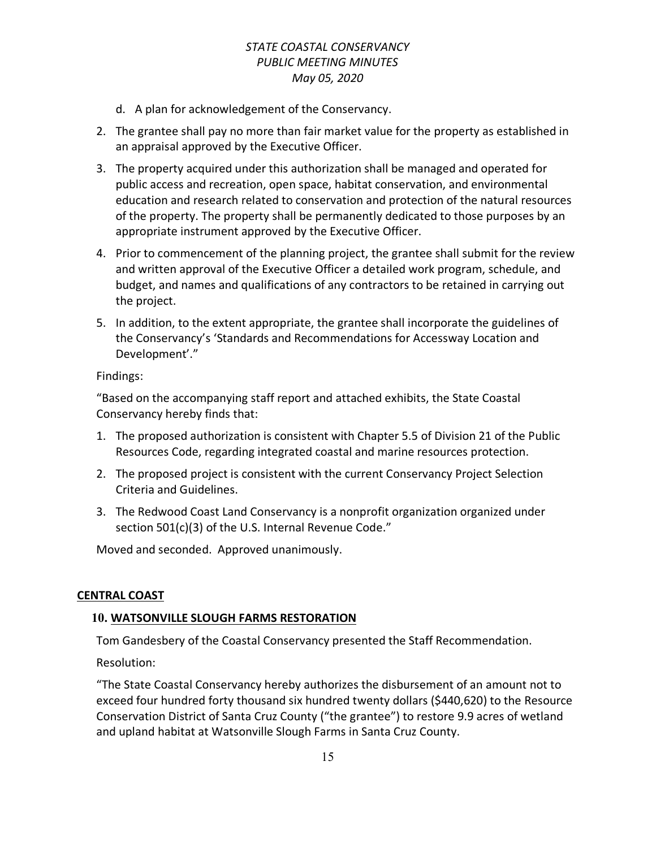- d. A plan for acknowledgement of the Conservancy.
- 2. The grantee shall pay no more than fair market value for the property as established in an appraisal approved by the Executive Officer.
- 3. The property acquired under this authorization shall be managed and operated for public access and recreation, open space, habitat conservation, and environmental education and research related to conservation and protection of the natural resources of the property. The property shall be permanently dedicated to those purposes by an appropriate instrument approved by the Executive Officer.
- 4. Prior to commencement of the planning project, the grantee shall submit for the review and written approval of the Executive Officer a detailed work program, schedule, and budget, and names and qualifications of any contractors to be retained in carrying out the project.
- 5. In addition, to the extent appropriate, the grantee shall incorporate the guidelines of the Conservancy's 'Standards and Recommendations for Accessway Location and Development'."

Findings:

"Based on the accompanying staff report and attached exhibits, the State Coastal Conservancy hereby finds that:

- 1. The proposed authorization is consistent with Chapter 5.5 of Division 21 of the Public Resources Code, regarding integrated coastal and marine resources protection.
- 2. The proposed project is consistent with the current Conservancy Project Selection Criteria and Guidelines.
- 3. The Redwood Coast Land Conservancy is a nonprofit organization organized under section 501(c)(3) of the U.S. Internal Revenue Code."

Moved and seconded. Approved unanimously.

### **CENTRAL COAST**

### **10. WATSONVILLE SLOUGH FARMS RESTORATION**

Tom Gandesbery of the Coastal Conservancy presented the Staff Recommendation.

Resolution:

"The State Coastal Conservancy hereby authorizes the disbursement of an amount not to exceed four hundred forty thousand six hundred twenty dollars (\$440,620) to the Resource Conservation District of Santa Cruz County ("the grantee") to restore 9.9 acres of wetland and upland habitat at Watsonville Slough Farms in Santa Cruz County.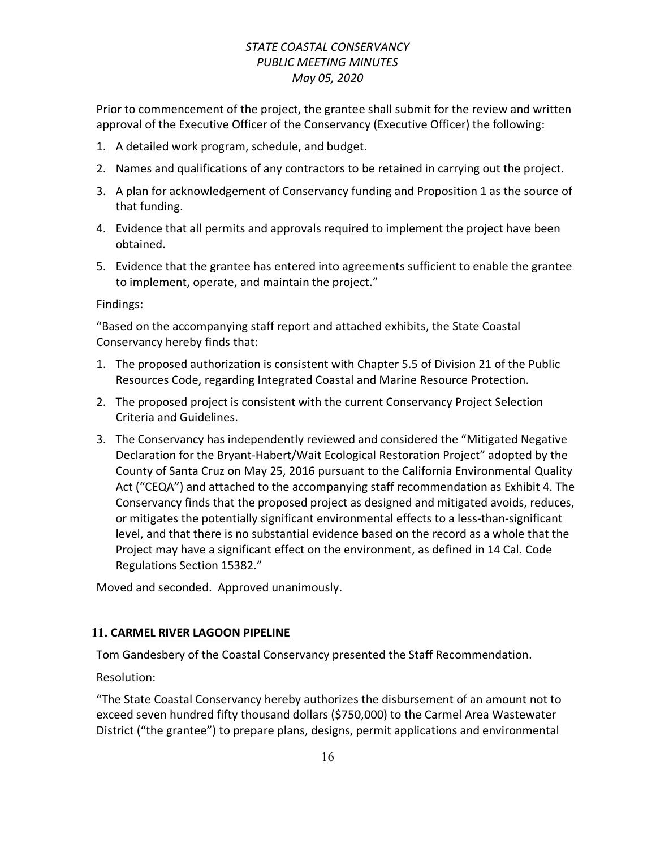Prior to commencement of the project, the grantee shall submit for the review and written approval of the Executive Officer of the Conservancy (Executive Officer) the following:

- 1. A detailed work program, schedule, and budget.
- 2. Names and qualifications of any contractors to be retained in carrying out the project.
- 3. A plan for acknowledgement of Conservancy funding and Proposition 1 as the source of that funding.
- 4. Evidence that all permits and approvals required to implement the project have been obtained.
- 5. Evidence that the grantee has entered into agreements sufficient to enable the grantee to implement, operate, and maintain the project."

Findings:

"Based on the accompanying staff report and attached exhibits, the State Coastal Conservancy hereby finds that:

- 1. The proposed authorization is consistent with Chapter 5.5 of Division 21 of the Public Resources Code, regarding Integrated Coastal and Marine Resource Protection.
- 2. The proposed project is consistent with the current Conservancy Project Selection Criteria and Guidelines.
- 3. The Conservancy has independently reviewed and considered the "Mitigated Negative Declaration for the Bryant-Habert/Wait Ecological Restoration Project" adopted by the County of Santa Cruz on May 25, 2016 pursuant to the California Environmental Quality Act ("CEQA") and attached to the accompanying staff recommendation as Exhibit 4. The Conservancy finds that the proposed project as designed and mitigated avoids, reduces, or mitigates the potentially significant environmental effects to a less-than-significant level, and that there is no substantial evidence based on the record as a whole that the Project may have a significant effect on the environment, as defined in 14 Cal. Code Regulations Section 15382."

Moved and seconded. Approved unanimously.

### **11. CARMEL RIVER LAGOON PIPELINE**

Tom Gandesbery of the Coastal Conservancy presented the Staff Recommendation.

Resolution:

"The State Coastal Conservancy hereby authorizes the disbursement of an amount not to exceed seven hundred fifty thousand dollars (\$750,000) to the Carmel Area Wastewater District ("the grantee") to prepare plans, designs, permit applications and environmental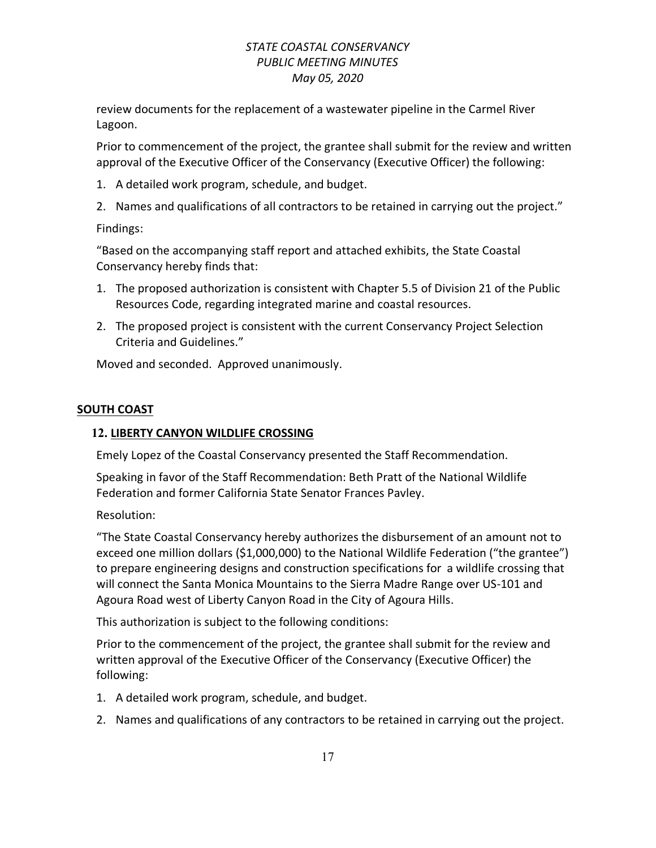review documents for the replacement of a wastewater pipeline in the Carmel River Lagoon.

Prior to commencement of the project, the grantee shall submit for the review and written approval of the Executive Officer of the Conservancy (Executive Officer) the following:

- 1. A detailed work program, schedule, and budget.
- 2. Names and qualifications of all contractors to be retained in carrying out the project."

Findings:

"Based on the accompanying staff report and attached exhibits, the State Coastal Conservancy hereby finds that:

- 1. The proposed authorization is consistent with Chapter 5.5 of Division 21 of the Public Resources Code, regarding integrated marine and coastal resources.
- 2. The proposed project is consistent with the current Conservancy Project Selection Criteria and Guidelines."

Moved and seconded. Approved unanimously.

### **SOUTH COAST**

### **12. LIBERTY CANYON WILDLIFE CROSSING**

Emely Lopez of the Coastal Conservancy presented the Staff Recommendation.

Speaking in favor of the Staff Recommendation: Beth Pratt of the National Wildlife Federation and former California State Senator Frances Pavley.

Resolution:

"The State Coastal Conservancy hereby authorizes the disbursement of an amount not to exceed one million dollars (\$1,000,000) to the National Wildlife Federation ("the grantee") to prepare engineering designs and construction specifications for a wildlife crossing that will connect the Santa Monica Mountains to the Sierra Madre Range over US-101 and Agoura Road west of Liberty Canyon Road in the City of Agoura Hills.

This authorization is subject to the following conditions:

Prior to the commencement of the project, the grantee shall submit for the review and written approval of the Executive Officer of the Conservancy (Executive Officer) the following:

- 1. A detailed work program, schedule, and budget.
- 2. Names and qualifications of any contractors to be retained in carrying out the project.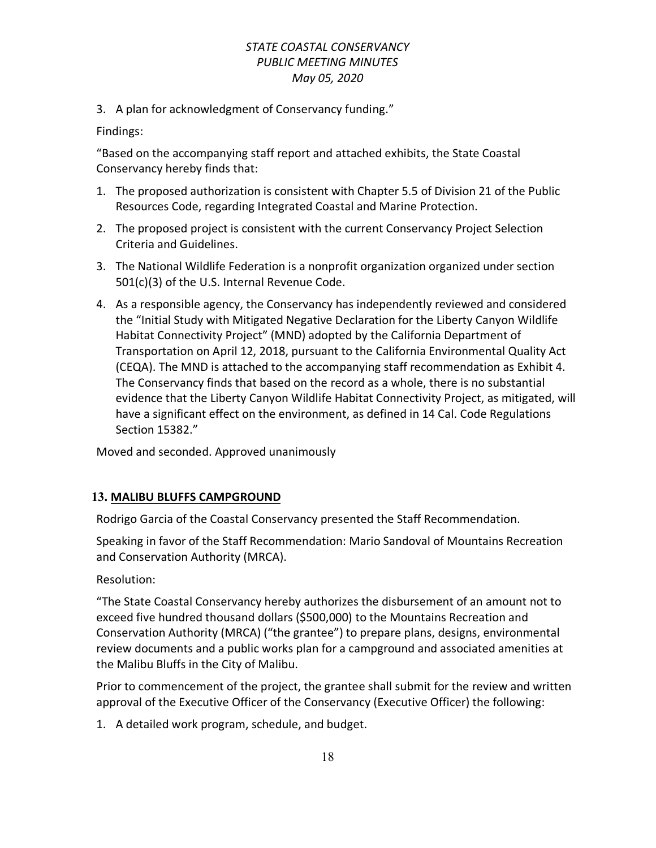3. A plan for acknowledgment of Conservancy funding."

Findings:

"Based on the accompanying staff report and attached exhibits, the State Coastal Conservancy hereby finds that:

- 1. The proposed authorization is consistent with Chapter 5.5 of Division 21 of the Public Resources Code, regarding Integrated Coastal and Marine Protection.
- 2. The proposed project is consistent with the current Conservancy Project Selection Criteria and Guidelines.
- 3. The National Wildlife Federation is a nonprofit organization organized under section 501(c)(3) of the U.S. Internal Revenue Code.
- 4. As a responsible agency, the Conservancy has independently reviewed and considered the "Initial Study with Mitigated Negative Declaration for the Liberty Canyon Wildlife Habitat Connectivity Project" (MND) adopted by the California Department of Transportation on April 12, 2018, pursuant to the California Environmental Quality Act (CEQA). The MND is attached to the accompanying staff recommendation as Exhibit 4. The Conservancy finds that based on the record as a whole, there is no substantial evidence that the Liberty Canyon Wildlife Habitat Connectivity Project, as mitigated, will have a significant effect on the environment, as defined in 14 Cal. Code Regulations Section 15382."

Moved and seconded. Approved unanimously

### **13. MALIBU BLUFFS CAMPGROUND**

Rodrigo Garcia of the Coastal Conservancy presented the Staff Recommendation.

Speaking in favor of the Staff Recommendation: Mario Sandoval of Mountains Recreation and Conservation Authority (MRCA).

### Resolution:

"The State Coastal Conservancy hereby authorizes the disbursement of an amount not to exceed five hundred thousand dollars (\$500,000) to the Mountains Recreation and Conservation Authority (MRCA) ("the grantee") to prepare plans, designs, environmental review documents and a public works plan for a campground and associated amenities at the Malibu Bluffs in the City of Malibu.

Prior to commencement of the project, the grantee shall submit for the review and written approval of the Executive Officer of the Conservancy (Executive Officer) the following:

1. A detailed work program, schedule, and budget.